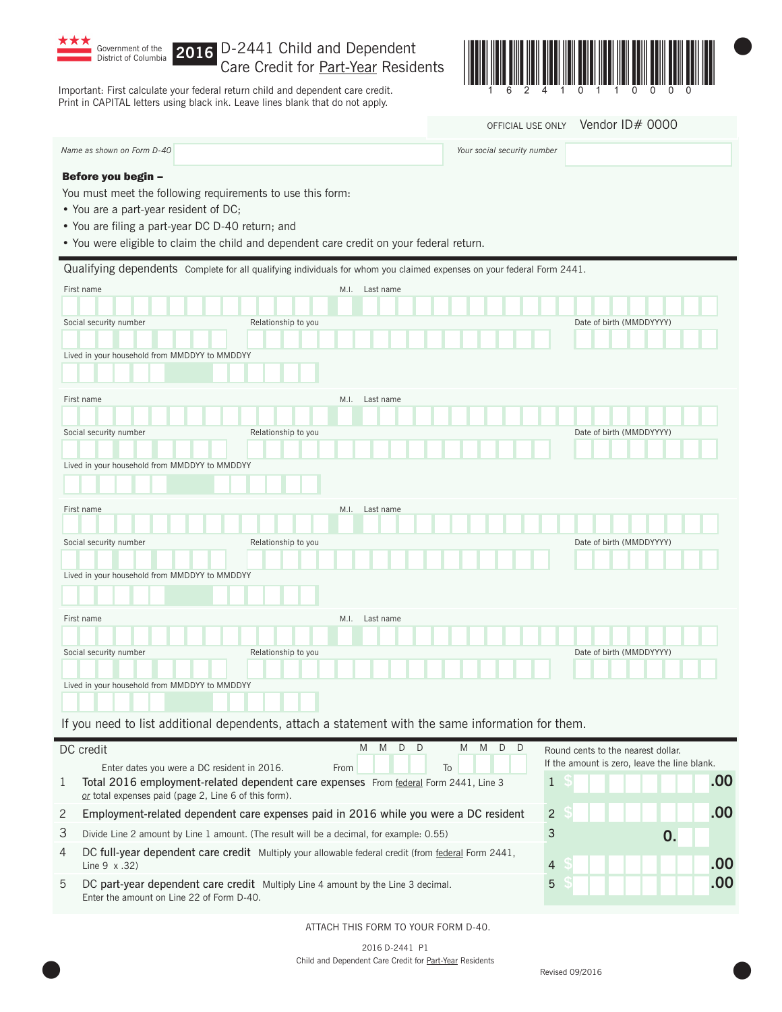

## **2016** Care Credit for Part-Year Residents

Important: First calculate your federal return child and dependent care credit. Print in CAPITAL letters using black ink. Leave lines blank that do not apply.



OFFICIAL USE ONLY Vendor ID# 0000

Your social security number

| Name as shown on Form D-40 |  |
|----------------------------|--|
| Before you begin -         |  |

You must meet the following requirements to use this form:

- You are a part-year resident of DC;
- You are filing a part-year DC D-40 return; and
- You were eligible to claim the child and dependent care credit on your federal return.

|                                                                                                                                                                                                                                      |                     |      | Qualifying dependents Complete for all qualifying individuals for whom you claimed expenses on your federal Form 2441. |                                              |
|--------------------------------------------------------------------------------------------------------------------------------------------------------------------------------------------------------------------------------------|---------------------|------|------------------------------------------------------------------------------------------------------------------------|----------------------------------------------|
| First name                                                                                                                                                                                                                           |                     | M.I. | Last name                                                                                                              |                                              |
|                                                                                                                                                                                                                                      |                     |      |                                                                                                                        |                                              |
| Social security number                                                                                                                                                                                                               | Relationship to you |      |                                                                                                                        | Date of birth (MMDDYYYY)                     |
|                                                                                                                                                                                                                                      |                     |      |                                                                                                                        |                                              |
| Lived in your household from MMDDYY to MMDDYY                                                                                                                                                                                        |                     |      |                                                                                                                        |                                              |
|                                                                                                                                                                                                                                      |                     |      |                                                                                                                        |                                              |
| First name                                                                                                                                                                                                                           |                     | M.I. | Last name                                                                                                              |                                              |
|                                                                                                                                                                                                                                      |                     |      |                                                                                                                        |                                              |
| Social security number                                                                                                                                                                                                               | Relationship to you |      |                                                                                                                        | Date of birth (MMDDYYYY)                     |
|                                                                                                                                                                                                                                      |                     |      |                                                                                                                        |                                              |
| Lived in your household from MMDDYY to MMDDYY                                                                                                                                                                                        |                     |      |                                                                                                                        |                                              |
|                                                                                                                                                                                                                                      |                     |      |                                                                                                                        |                                              |
| First name                                                                                                                                                                                                                           |                     | M.I. | Last name                                                                                                              |                                              |
|                                                                                                                                                                                                                                      |                     |      |                                                                                                                        |                                              |
| Social security number                                                                                                                                                                                                               | Relationship to you |      |                                                                                                                        | Date of birth (MMDDYYYY)                     |
|                                                                                                                                                                                                                                      |                     |      |                                                                                                                        |                                              |
| Lived in your household from MMDDYY to MMDDYY                                                                                                                                                                                        |                     |      |                                                                                                                        |                                              |
|                                                                                                                                                                                                                                      |                     |      |                                                                                                                        |                                              |
| First name                                                                                                                                                                                                                           |                     | M.I. | Last name                                                                                                              |                                              |
|                                                                                                                                                                                                                                      |                     |      |                                                                                                                        |                                              |
| Social security number                                                                                                                                                                                                               | Relationship to you |      |                                                                                                                        | Date of birth (MMDDYYYY)                     |
|                                                                                                                                                                                                                                      |                     |      |                                                                                                                        |                                              |
| Lived in your household from MMDDYY to MMDDYY                                                                                                                                                                                        |                     |      |                                                                                                                        |                                              |
|                                                                                                                                                                                                                                      |                     |      |                                                                                                                        |                                              |
|                                                                                                                                                                                                                                      |                     |      | If you need to list additional dependents, attach a statement with the same information for them.                      |                                              |
| DC credit                                                                                                                                                                                                                            |                     |      | M<br>D<br>$\Box$<br>M<br><b>M</b><br>D<br>$\Box$<br>M                                                                  | Round cents to the nearest dollar.           |
| Enter dates you were a DC resident in 2016.                                                                                                                                                                                          |                     | From | To                                                                                                                     | If the amount is zero, leave the line blank. |
| $\mathbf{1}$<br>Total 2016 employment-related dependent care expenses From federal Form 2441, Line 3<br>or total expenses paid (page 2, Line 6 of this form).                                                                        |                     |      |                                                                                                                        | .00<br>$\mathbf{1}$                          |
| $\overline{c}$<br>$\overline{c}$<br>Employment-related dependent care expenses paid in 2016 while you were a DC resident                                                                                                             |                     |      |                                                                                                                        | .00                                          |
| 3<br>Divide Line 2 amount by Line 1 amount. (The result will be a decimal, for example: 0.55)<br>0                                                                                                                                   |                     |      |                                                                                                                        |                                              |
| <b>PO FUEL TELEVISION IN THE REGISTER CONTRACT AND IN THE REGISTER OF A PROPERTY OF A PROPERTY OF A PROPERTY OF A PROPERTY OF A PROPERTY OF A PROPERTY OF A PROPERTY OF A PROPERTY OF A PROPERTY OF A PROPERTY OF A PROPERTY OF </b> |                     |      |                                                                                                                        |                                              |

4 DC full-year dependent care credit Multiply your allowable federal credit (from federal Form 2441, Line 9 x .32) 4 **\$ .00**

5 DC part-year dependent care credit Multiply Line 4 amount by the Line 3 decimal. 5 **\$ .00** Enter the amount on Line 22 of Form D-40.

## ATTACH THIS FORM TO YOUR FORM D-40.